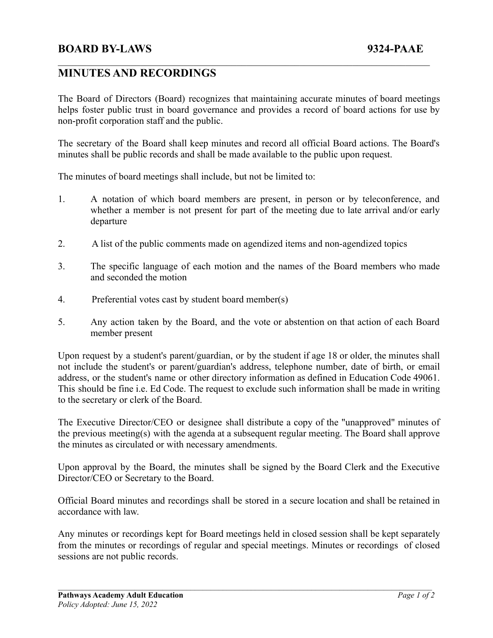## **MINUTES AND RECORDINGS**

The Board of Directors (Board) recognizes that maintaining accurate minutes of board meetings helps foster public trust in board governance and provides a record of board actions for use by non-profit corporation staff and the public.

 $\mathcal{L}_\mathcal{L} = \{ \mathcal{L}_\mathcal{L} = \{ \mathcal{L}_\mathcal{L} = \{ \mathcal{L}_\mathcal{L} = \{ \mathcal{L}_\mathcal{L} = \{ \mathcal{L}_\mathcal{L} = \{ \mathcal{L}_\mathcal{L} = \{ \mathcal{L}_\mathcal{L} = \{ \mathcal{L}_\mathcal{L} = \{ \mathcal{L}_\mathcal{L} = \{ \mathcal{L}_\mathcal{L} = \{ \mathcal{L}_\mathcal{L} = \{ \mathcal{L}_\mathcal{L} = \{ \mathcal{L}_\mathcal{L} = \{ \mathcal{L}_\mathcal{$ 

The secretary of the Board shall keep minutes and record all official Board actions. The Board's minutes shall be public records and shall be made available to the public upon request.

The minutes of board meetings shall include, but not be limited to:

- 1. A notation of which board members are present, in person or by teleconference, and whether a member is not present for part of the meeting due to late arrival and/or early departure
- 2. A list of the public comments made on agendized items and non-agendized topics
- 3. The specific language of each motion and the names of the Board members who made and seconded the motion
- 4. Preferential votes cast by student board member(s)
- 5. Any action taken by the Board, and the vote or abstention on that action of each Board member present

Upon request by a student's parent/guardian, or by the student if age 18 or older, the minutes shall not include the student's or parent/guardian's address, telephone number, date of birth, or email address, or the student's name or other directory information as defined in Education Code 49061. This should be fine i.e. Ed Code. The request to exclude such information shall be made in writing to the secretary or clerk of the Board.

The Executive Director/CEO or designee shall distribute a copy of the "unapproved" minutes of the previous meeting(s) with the agenda at a subsequent regular meeting. The Board shall approve the minutes as circulated or with necessary amendments.

Upon approval by the Board, the minutes shall be signed by the Board Clerk and the Executive Director/CEO or Secretary to the Board.

Official Board minutes and recordings shall be stored in a secure location and shall be retained in accordance with law.

Any minutes or recordings kept for Board meetings held in closed session shall be kept separately from the minutes or recordings of regular and special meetings. Minutes or recordings of closed sessions are not public records.

 $\mathcal{L}_\mathcal{L} = \{ \mathcal{L}_\mathcal{L} = \{ \mathcal{L}_\mathcal{L} = \{ \mathcal{L}_\mathcal{L} = \{ \mathcal{L}_\mathcal{L} = \{ \mathcal{L}_\mathcal{L} = \{ \mathcal{L}_\mathcal{L} = \{ \mathcal{L}_\mathcal{L} = \{ \mathcal{L}_\mathcal{L} = \{ \mathcal{L}_\mathcal{L} = \{ \mathcal{L}_\mathcal{L} = \{ \mathcal{L}_\mathcal{L} = \{ \mathcal{L}_\mathcal{L} = \{ \mathcal{L}_\mathcal{L} = \{ \mathcal{L}_\mathcal{$